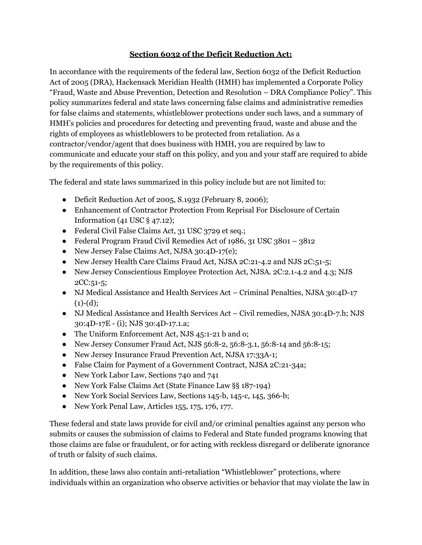## **Section 6032 of the Deficit Reduction Act:**

In accordance with the requirements of the federal law, Section 6032 of the Deficit Reduction Act of 2005 (DRA), Hackensack Meridian Health (HMH) has implemented a Corporate Policy "Fraud, Waste and Abuse Prevention, Detection and Resolution – DRA Compliance Policy". This policy summarizes federal and state laws concerning false claims and administrative remedies for false claims and statements, whistleblower protections under such laws, and a summary of HMH's policies and procedures for detecting and preventing fraud, waste and abuse and the rights of employees as whistleblowers to be protected from retaliation. As a contractor/vendor/agent that does business with HMH, you are required by law to communicate and educate your staff on this policy, and you and your staff are required to abide by the requirements of this policy.

The federal and state laws summarized in this policy include but are not limited to:

- Deficit Reduction Act of 2005, S.1932 (February 8, 2006);
- Enhancement of Contractor Protection From Reprisal For Disclosure of Certain Information (41 USC § 47.12);
- Federal Civil False Claims Act, 31 USC 3729 et seq.;
- Federal Program Fraud Civil Remedies Act of 1986, 31 USC 3801 3812
- New Jersey False Claims Act, NJSA 30:4D-17(e);
- New Jersey Health Care Claims Fraud Act, NJSA 2C:21-4.2 and NJS 2C:51-5;
- New Jersey Conscientious Employee Protection Act, NJSA. 2C:2.1-4.2 and 4.3; NJS 2CC:51-5;
- NJ Medical Assistance and Health Services Act Criminal Penalties, NJSA 30:4D-17  $(1)-(d);$
- NJ Medical Assistance and Health Services Act Civil remedies, NJSA 30:4D-7.h; NJS 30:4D-17E - (i); NJS 30:4D-17.1.a;
- The Uniform Enforcement Act, NJS 45:1-21 b and o;
- New Jersey Consumer Fraud Act, NJS 56:8-2, 56:8-3.1, 56:8-14 and 56:8-15;
- New Jersey Insurance Fraud Prevention Act, NJSA 17:33A-1;
- False Claim for Payment of a Government Contract, NJSA 2C:21-34a;
- New York Labor Law, Sections 740 and 741
- New York False Claims Act (State Finance Law §§ 187-194)
- New York Social Services Law, Sections 145-b, 145-c, 145, 366-b;
- New York Penal Law, Articles 155, 175, 176, 177.

These federal and state laws provide for civil and/or criminal penalties against any person who submits or causes the submission of claims to Federal and State funded programs knowing that those claims are false or fraudulent, or for acting with reckless disregard or deliberate ignorance of truth or falsity of such claims.

In addition, these laws also contain anti-retaliation "Whistleblower" protections, where individuals within an organization who observe activities or behavior that may violate the law in